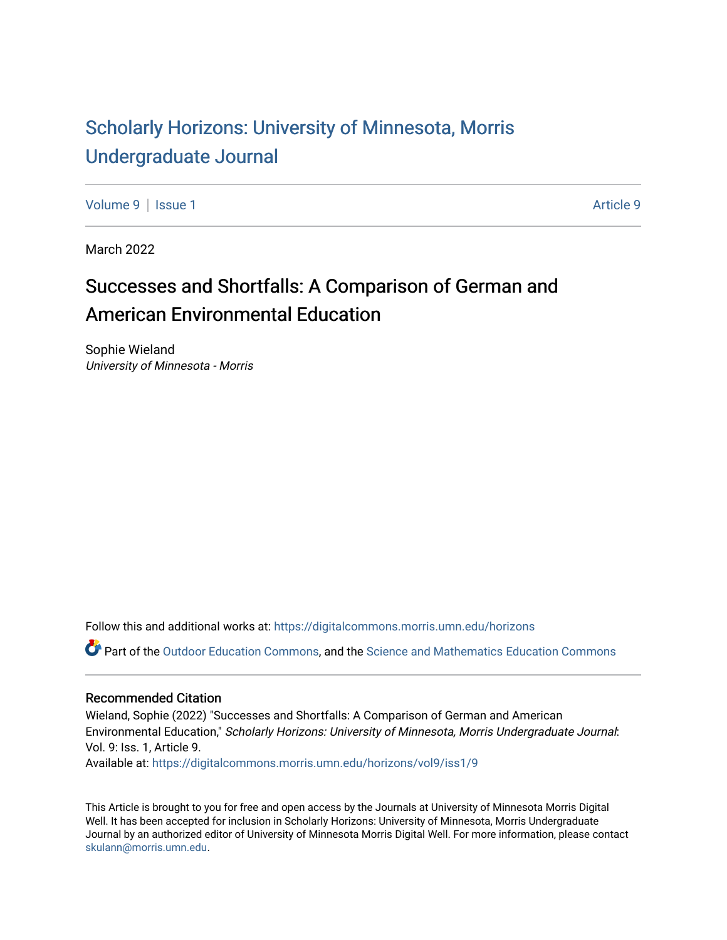# [Scholarly Horizons: University of Minnesota, Morris](https://digitalcommons.morris.umn.edu/horizons) [Undergraduate Journal](https://digitalcommons.morris.umn.edu/horizons)

[Volume 9](https://digitalcommons.morris.umn.edu/horizons/vol9) | [Issue 1](https://digitalcommons.morris.umn.edu/horizons/vol9/iss1) [Article 9](https://digitalcommons.morris.umn.edu/horizons/vol9/iss1/9) | Article 9 | Article 9 | Article 9 | Article 9 | Article 9 | Article 9 | Article 9

March 2022

# Successes and Shortfalls: A Comparison of German and American Environmental Education

Sophie Wieland University of Minnesota - Morris

Follow this and additional works at: [https://digitalcommons.morris.umn.edu/horizons](https://digitalcommons.morris.umn.edu/horizons?utm_source=digitalcommons.morris.umn.edu%2Fhorizons%2Fvol9%2Fiss1%2F9&utm_medium=PDF&utm_campaign=PDFCoverPages) 

Part of the [Outdoor Education Commons,](https://network.bepress.com/hgg/discipline/1381?utm_source=digitalcommons.morris.umn.edu%2Fhorizons%2Fvol9%2Fiss1%2F9&utm_medium=PDF&utm_campaign=PDFCoverPages) and the [Science and Mathematics Education Commons](https://network.bepress.com/hgg/discipline/800?utm_source=digitalcommons.morris.umn.edu%2Fhorizons%2Fvol9%2Fiss1%2F9&utm_medium=PDF&utm_campaign=PDFCoverPages)

#### Recommended Citation

Wieland, Sophie (2022) "Successes and Shortfalls: A Comparison of German and American Environmental Education," Scholarly Horizons: University of Minnesota, Morris Undergraduate Journal: Vol. 9: Iss. 1, Article 9. Available at: [https://digitalcommons.morris.umn.edu/horizons/vol9/iss1/9](https://digitalcommons.morris.umn.edu/horizons/vol9/iss1/9?utm_source=digitalcommons.morris.umn.edu%2Fhorizons%2Fvol9%2Fiss1%2F9&utm_medium=PDF&utm_campaign=PDFCoverPages) 

This Article is brought to you for free and open access by the Journals at University of Minnesota Morris Digital Well. It has been accepted for inclusion in Scholarly Horizons: University of Minnesota, Morris Undergraduate Journal by an authorized editor of University of Minnesota Morris Digital Well. For more information, please contact [skulann@morris.umn.edu.](mailto:skulann@morris.umn.edu)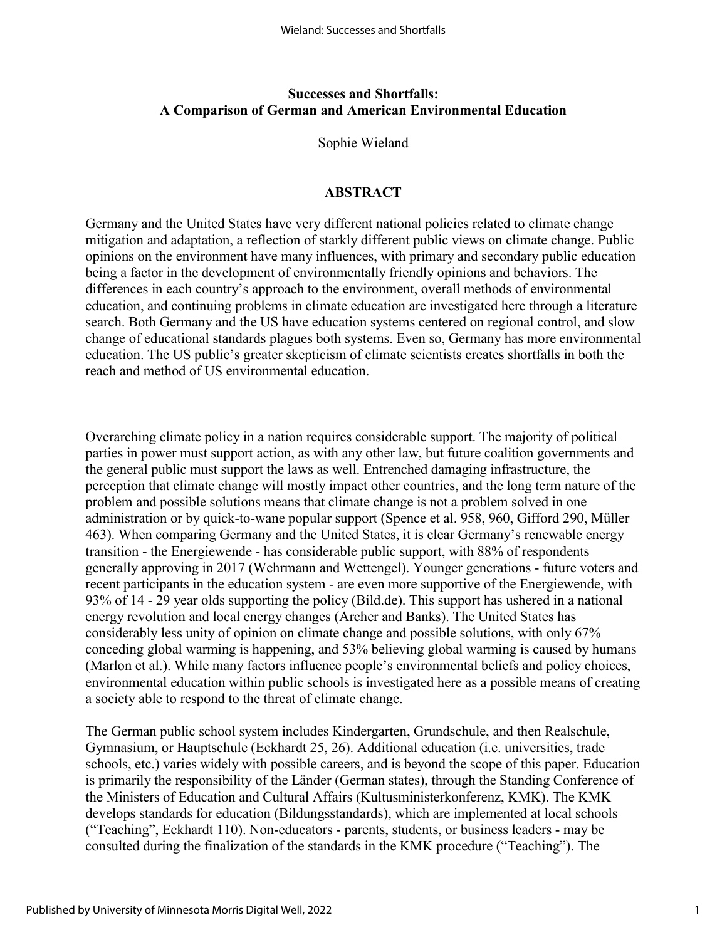#### **Successes and Shortfalls: A Comparison of German and American Environmental Education**

Sophie Wieland

#### **ABSTRACT**

Germany and the United States have very different national policies related to climate change mitigation and adaptation, a reflection of starkly different public views on climate change. Public opinions on the environment have many influences, with primary and secondary public education being a factor in the development of environmentally friendly opinions and behaviors. The differences in each country's approach to the environment, overall methods of environmental education, and continuing problems in climate education are investigated here through a literature search. Both Germany and the US have education systems centered on regional control, and slow change of educational standards plagues both systems. Even so, Germany has more environmental education. The US public's greater skepticism of climate scientists creates shortfalls in both the reach and method of US environmental education.

Overarching climate policy in a nation requires considerable support. The majority of political parties in power must support action, as with any other law, but future coalition governments and the general public must support the laws as well. Entrenched damaging infrastructure, the perception that climate change will mostly impact other countries, and the long term nature of the problem and possible solutions means that climate change is not a problem solved in one administration or by quick-to-wane popular support (Spence et al. 958, 960, Gifford 290, Müller 463). When comparing Germany and the United States, it is clear Germany's renewable energy transition - the Energiewende - has considerable public support, with 88% of respondents generally approving in 2017 (Wehrmann and Wettengel). Younger generations - future voters and recent participants in the education system - are even more supportive of the Energiewende, with 93% of 14 - 29 year olds supporting the policy (Bild.de). This support has ushered in a national energy revolution and local energy changes (Archer and Banks). The United States has considerably less unity of opinion on climate change and possible solutions, with only 67% conceding global warming is happening, and 53% believing global warming is caused by humans (Marlon et al.). While many factors influence people's environmental beliefs and policy choices, environmental education within public schools is investigated here as a possible means of creating a society able to respond to the threat of climate change.

The German public school system includes Kindergarten, Grundschule, and then Realschule, Gymnasium, or Hauptschule (Eckhardt 25, 26). Additional education (i.e. universities, trade schools, etc.) varies widely with possible careers, and is beyond the scope of this paper. Education is primarily the responsibility of the Länder (German states), through the Standing Conference of the Ministers of Education and Cultural Affairs (Kultusministerkonferenz, KMK). The KMK develops standards for education (Bildungsstandards), which are implemented at local schools ("Teaching", Eckhardt 110). Non-educators - parents, students, or business leaders - may be consulted during the finalization of the standards in the KMK procedure ("Teaching"). The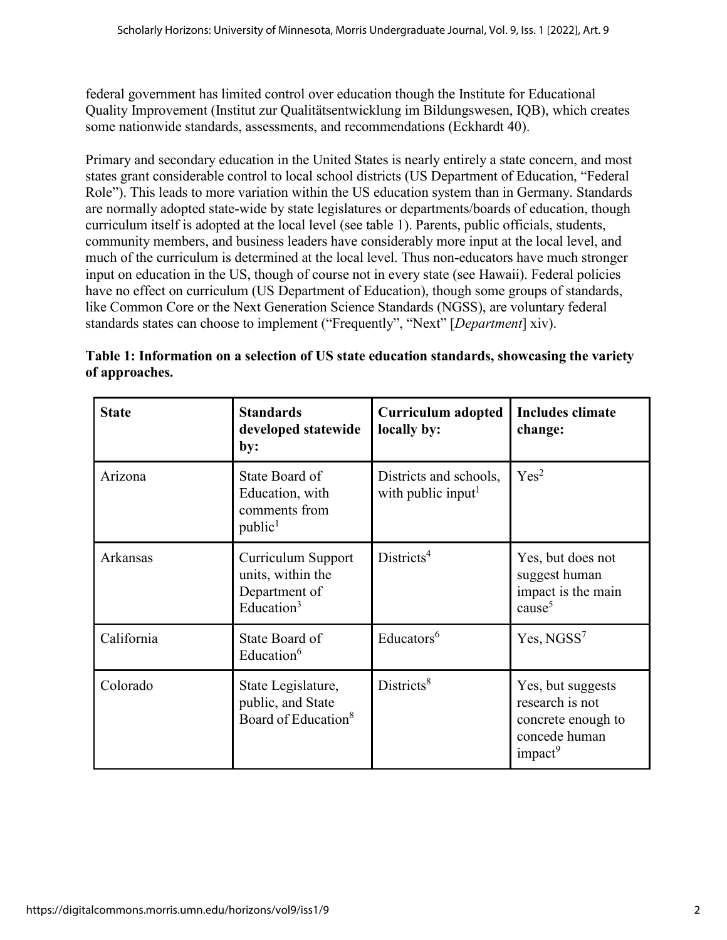federal government has limited control over education though the Institute for Educational Quality Improvement (Institut zur Qualitätsentwicklung im Bildungswesen, IQB), which creates some nationwide standards, assessments, and recommendations (Eckhardt 40).

Primary and secondary education in the United States is nearly entirely a state concern, and most states grant considerable control to local school districts (US Department of Education, "Federal Role"). This leads to more variation within the US education system than in Germany. Standards are normally adopted state-wide by state legislatures or departments/boards of education, though curriculum itself is adopted at the local level (see table 1). Parents, public officials, students, community members, and business leaders have considerably more input at the local level, and much of the curriculum is determined at the local level. Thus non-educators have much stronger input on education in the US, though of course not in every state (see Hawaii). Federal policies have no effect on curriculum (US Department of Education), though some groups of standards, like Common Core or the Next Generation Science Standards (NGSS), are voluntary federal standards states can choose to implement ("Frequently", "Next" [*Department*] xiv).

| Table 1: Information on a selection of US state education standards, showcasing the variety |  |
|---------------------------------------------------------------------------------------------|--|
| of approaches.                                                                              |  |

| <b>State</b> | <b>Standards</b><br>developed statewide<br>by:                             | <b>Curriculum adopted</b><br>locally by:                 | <b>Includes climate</b><br>change:                                                                 |
|--------------|----------------------------------------------------------------------------|----------------------------------------------------------|----------------------------------------------------------------------------------------------------|
| Arizona      | State Board of<br>Education, with<br>comments from<br>public <sup>1</sup>  | Districts and schools,<br>with public input <sup>1</sup> | Yes <sup>2</sup>                                                                                   |
| Arkansas     | Curriculum Support<br>units, within the<br>Department of<br>Education $3$  | Distriets <sup>4</sup>                                   | Yes, but does not<br>suggest human<br>impact is the main<br>cause <sup>5</sup>                     |
| California   | State Board of<br>Education $6$                                            | Educators <sup>6</sup>                                   | Yes, NGSS <sup>7</sup>                                                                             |
| Colorado     | State Legislature,<br>public, and State<br>Board of Education <sup>8</sup> | Distriets <sup>8</sup>                                   | Yes, but suggests<br>research is not<br>concrete enough to<br>concede human<br>impact <sup>9</sup> |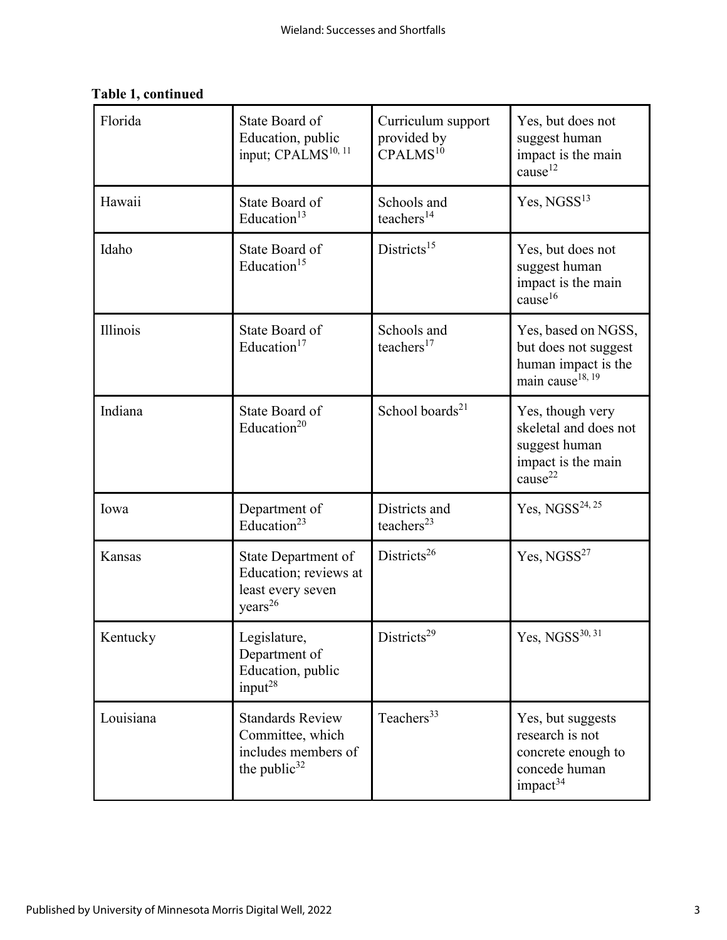| Florida   | State Board of<br>Education, public<br>input; CPALMS <sup>10, 11</sup>                         | Curriculum support<br>provided by<br>CPALMS <sup>10</sup> | Yes, but does not<br>suggest human<br>impact is the main<br>cause <sup>12</sup>                         |
|-----------|------------------------------------------------------------------------------------------------|-----------------------------------------------------------|---------------------------------------------------------------------------------------------------------|
| Hawaii    | State Board of<br>Education <sup>13</sup>                                                      | Schools and<br>teachers <sup>14</sup>                     | Yes, NGSS <sup>13</sup>                                                                                 |
| Idaho     | State Board of<br>Education <sup>15</sup>                                                      | Districts <sup>15</sup>                                   | Yes, but does not<br>suggest human<br>impact is the main<br>cause <sup>16</sup>                         |
| Illinois  | State Board of<br>Education <sup>17</sup>                                                      | Schools and<br>teachers <sup>17</sup>                     | Yes, based on NGSS,<br>but does not suggest<br>human impact is the<br>main cause <sup>18, 19</sup>      |
| Indiana   | State Board of<br>Education <sup>20</sup>                                                      | School boards <sup>21</sup>                               | Yes, though very<br>skeletal and does not<br>suggest human<br>impact is the main<br>cause <sup>22</sup> |
| Iowa      | Department of<br>Education <sup>23</sup>                                                       | Districts and<br>teachers $^{23}$                         | Yes, $NGSS^{24, 25}$                                                                                    |
| Kansas    | State Department of<br>Education; reviews at<br>least every seven<br>years <sup>26</sup>       | Districts <sup>26</sup>                                   | Yes, NGSS <sup>27</sup>                                                                                 |
| Kentucky  | Legislature,<br>Department of<br>Education, public<br>input <sup>28</sup>                      | Districts <sup>29</sup>                                   | Yes, $NGSS^{30, 31}$                                                                                    |
| Louisiana | <b>Standards Review</b><br>Committee, which<br>includes members of<br>the public <sup>32</sup> | Teachers <sup>33</sup>                                    | Yes, but suggests<br>research is not<br>concrete enough to<br>concede human<br>impact <sup>34</sup>     |

## **Table 1, continued**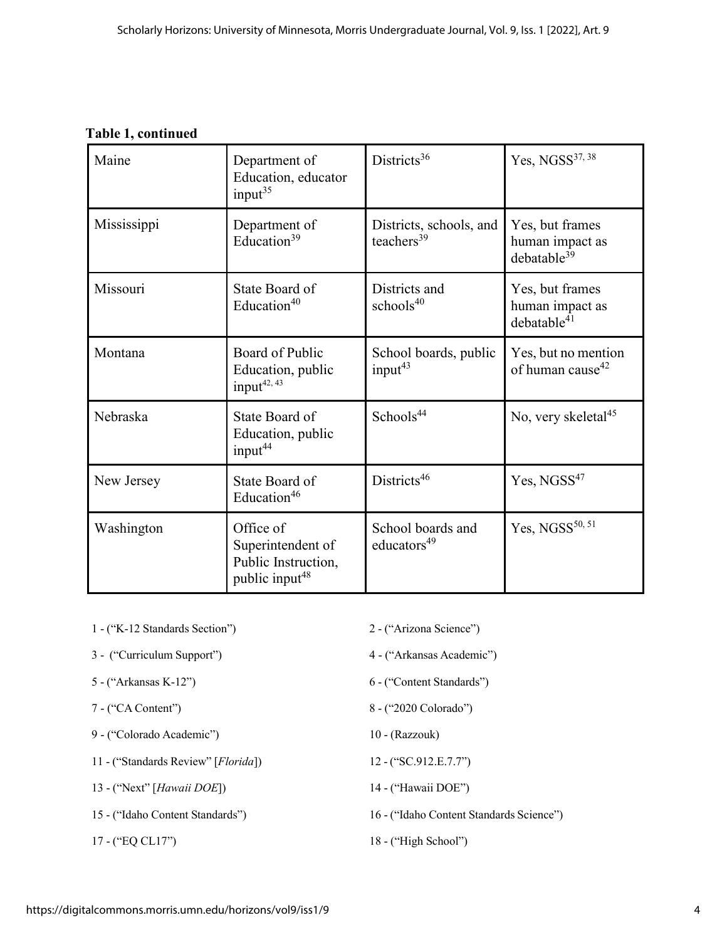### **Table 1, continued**

| Maine       | Department of<br>Education, educator<br>input <sup>35</sup>                         | Districts <sup>36</sup>                      | Yes, NGSS <sup>37, 38</sup>                                   |
|-------------|-------------------------------------------------------------------------------------|----------------------------------------------|---------------------------------------------------------------|
| Mississippi | Department of<br>Education <sup>39</sup>                                            | Districts, schools, and<br>teachers $39$     | Yes, but frames<br>human impact as<br>debatable <sup>39</sup> |
| Missouri    | State Board of<br>Education $40$                                                    | Districts and<br>schools <sup>40</sup>       | Yes, but frames<br>human impact as<br>debatable <sup>41</sup> |
| Montana     | Board of Public<br>Education, public<br>input <sup>42, 43</sup>                     | School boards, public<br>input $43$          | Yes, but no mention<br>of human cause <sup>42</sup>           |
| Nebraska    | State Board of<br>Education, public<br>input <sup>44</sup>                          | Schools <sup>44</sup>                        | No, very skeletal <sup>45</sup>                               |
| New Jersey  | State Board of<br>Education <sup>46</sup>                                           | Districts <sup>46</sup>                      | Yes, NGSS <sup>47</sup>                                       |
| Washington  | Office of<br>Superintendent of<br>Public Instruction,<br>public input <sup>48</sup> | School boards and<br>educators <sup>49</sup> | Yes, NGSS <sup>50, 51</sup>                                   |

- 1 ("K-12 Standards Section") 2 ("Arizona Science")
- 3 ("Curriculum Support") 4 ("Arkansas Academic")
- 
- 
- 9 ("Colorado Academic") 10 (Razzouk)
- 11 ("Standards Review" [*Florida*]) 12 ("SC.912.E.7.7")
- 13 ("Next" [*Hawaii DOE*]) 14 ("Hawaii DOE")
- 
- 
- 
- 
- 5 ("Arkansas K-12") 6 ("Content Standards")
- 7 ("CA Content") 8 ("2020 Colorado")
	-
	-
	-
- 15 ("Idaho Content Standards") 16 ("Idaho Content Standards Science")
- 17 ("EQ CL17") 18 ("High School")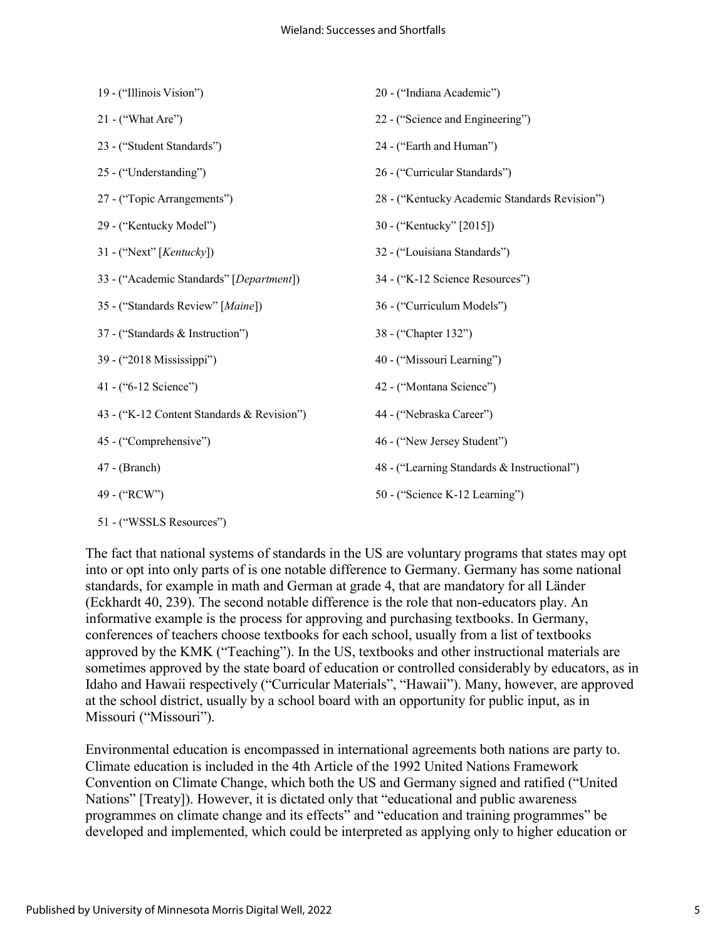| 22 - ("Science and Engineering")<br>$21 -$ ("What Are")<br>24 - ("Earth and Human")<br>23 - ("Student Standards")<br>25 - ("Understanding")<br>26 - ("Curricular Standards")<br>27 - ("Topic Arrangements")<br>28 - ("Kentucky Academic Standards Revision")<br>29 - ("Kentucky Model")<br>30 - ("Kentucky" [2015])<br>32 - ("Louisiana Standards")<br>31 - ("Next" [ $Kentucky$ ])<br>34 - ("K-12 Science Resources")<br>33 - ("Academic Standards" [Department])<br>35 - ("Standards Review" [Maine])<br>36 - ("Curriculum Models")<br>37 - ("Standards & Instruction")<br>38 - ("Chapter 132")<br>39 - ("2018 Mississippi")<br>40 - ("Missouri Learning")<br>41 - ("6-12 Science")<br>42 - ("Montana Science")<br>43 - ("K-12 Content Standards & Revision")<br>44 - ("Nebraska Career")<br>45 - ("Comprehensive")<br>46 - ("New Jersey Student")<br>$47 - (Branch)$<br>48 - ("Learning Standards & Instructional")<br>50 - ("Science K-12 Learning")<br>49 - ("RCW") | 19 - ("Illinois Vision") | 20 - ("Indiana Academic") |
|--------------------------------------------------------------------------------------------------------------------------------------------------------------------------------------------------------------------------------------------------------------------------------------------------------------------------------------------------------------------------------------------------------------------------------------------------------------------------------------------------------------------------------------------------------------------------------------------------------------------------------------------------------------------------------------------------------------------------------------------------------------------------------------------------------------------------------------------------------------------------------------------------------------------------------------------------------------------------|--------------------------|---------------------------|
|                                                                                                                                                                                                                                                                                                                                                                                                                                                                                                                                                                                                                                                                                                                                                                                                                                                                                                                                                                          |                          |                           |
|                                                                                                                                                                                                                                                                                                                                                                                                                                                                                                                                                                                                                                                                                                                                                                                                                                                                                                                                                                          |                          |                           |
|                                                                                                                                                                                                                                                                                                                                                                                                                                                                                                                                                                                                                                                                                                                                                                                                                                                                                                                                                                          |                          |                           |
|                                                                                                                                                                                                                                                                                                                                                                                                                                                                                                                                                                                                                                                                                                                                                                                                                                                                                                                                                                          |                          |                           |
|                                                                                                                                                                                                                                                                                                                                                                                                                                                                                                                                                                                                                                                                                                                                                                                                                                                                                                                                                                          |                          |                           |
|                                                                                                                                                                                                                                                                                                                                                                                                                                                                                                                                                                                                                                                                                                                                                                                                                                                                                                                                                                          |                          |                           |
|                                                                                                                                                                                                                                                                                                                                                                                                                                                                                                                                                                                                                                                                                                                                                                                                                                                                                                                                                                          |                          |                           |
|                                                                                                                                                                                                                                                                                                                                                                                                                                                                                                                                                                                                                                                                                                                                                                                                                                                                                                                                                                          |                          |                           |
|                                                                                                                                                                                                                                                                                                                                                                                                                                                                                                                                                                                                                                                                                                                                                                                                                                                                                                                                                                          |                          |                           |
|                                                                                                                                                                                                                                                                                                                                                                                                                                                                                                                                                                                                                                                                                                                                                                                                                                                                                                                                                                          |                          |                           |
|                                                                                                                                                                                                                                                                                                                                                                                                                                                                                                                                                                                                                                                                                                                                                                                                                                                                                                                                                                          |                          |                           |
|                                                                                                                                                                                                                                                                                                                                                                                                                                                                                                                                                                                                                                                                                                                                                                                                                                                                                                                                                                          |                          |                           |
|                                                                                                                                                                                                                                                                                                                                                                                                                                                                                                                                                                                                                                                                                                                                                                                                                                                                                                                                                                          |                          |                           |
|                                                                                                                                                                                                                                                                                                                                                                                                                                                                                                                                                                                                                                                                                                                                                                                                                                                                                                                                                                          |                          |                           |
|                                                                                                                                                                                                                                                                                                                                                                                                                                                                                                                                                                                                                                                                                                                                                                                                                                                                                                                                                                          |                          |                           |

<sup>51 - (&</sup>quot;WSSLS Resources")

The fact that national systems of standards in the US are voluntary programs that states may opt into or opt into only parts of is one notable difference to Germany. Germany has some national standards, for example in math and German at grade 4, that are mandatory for all Länder (Eckhardt 40, 239). The second notable difference is the role that non-educators play. An informative example is the process for approving and purchasing textbooks. In Germany, conferences of teachers choose textbooks for each school, usually from a list of textbooks approved by the KMK ("Teaching"). In the US, textbooks and other instructional materials are sometimes approved by the state board of education or controlled considerably by educators, as in Idaho and Hawaii respectively ("Curricular Materials", "Hawaii"). Many, however, are approved at the school district, usually by a school board with an opportunity for public input, as in Missouri ("Missouri").

Environmental education is encompassed in international agreements both nations are party to. Climate education is included in the 4th Article of the 1992 United Nations Framework Convention on Climate Change, which both the US and Germany signed and ratified ("United Nations" [Treaty]). However, it is dictated only that "educational and public awareness programmes on climate change and its effects" and "education and training programmes" be developed and implemented, which could be interpreted as applying only to higher education or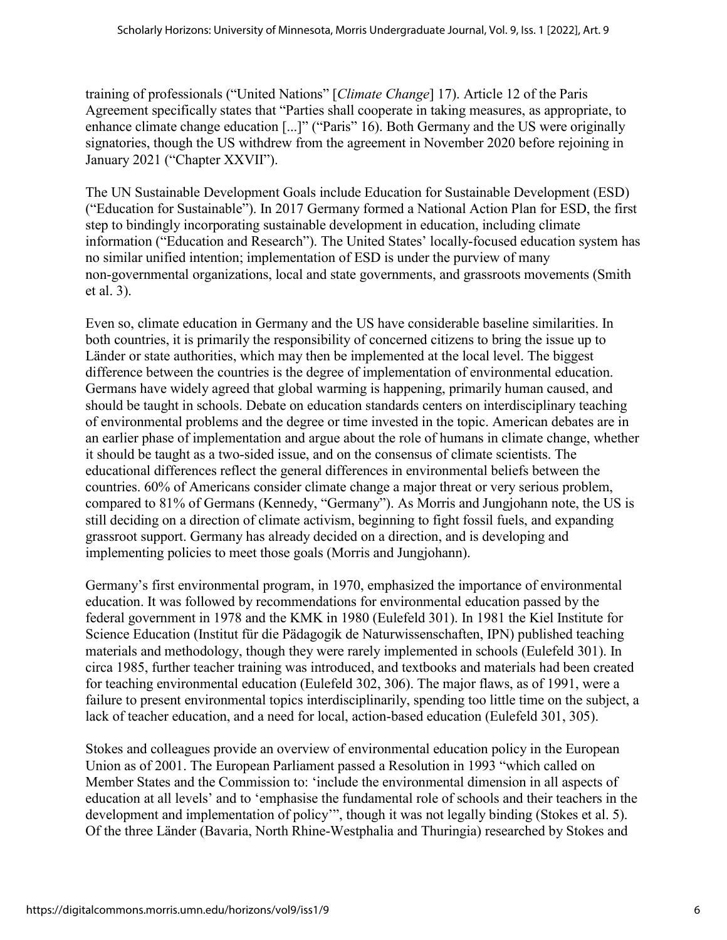training of professionals ("United Nations" [*Climate Change*] 17). Article 12 of the Paris Agreement specifically states that "Parties shall cooperate in taking measures, as appropriate, to enhance climate change education [...]" ("Paris" 16). Both Germany and the US were originally signatories, though the US withdrew from the agreement in November 2020 before rejoining in January 2021 ("Chapter XXVII").

The UN Sustainable Development Goals include Education for Sustainable Development (ESD) ("Education for Sustainable"). In 2017 Germany formed a National Action Plan for ESD, the first step to bindingly incorporating sustainable development in education, including climate information ("Education and Research"). The United States' locally-focused education system has no similar unified intention; implementation of ESD is under the purview of many non-governmental organizations, local and state governments, and grassroots movements (Smith et al. 3).

Even so, climate education in Germany and the US have considerable baseline similarities. In both countries, it is primarily the responsibility of concerned citizens to bring the issue up to Länder or state authorities, which may then be implemented at the local level. The biggest difference between the countries is the degree of implementation of environmental education. Germans have widely agreed that global warming is happening, primarily human caused, and should be taught in schools. Debate on education standards centers on interdisciplinary teaching of environmental problems and the degree or time invested in the topic. American debates are in an earlier phase of implementation and argue about the role of humans in climate change, whether it should be taught as a two-sided issue, and on the consensus of climate scientists. The educational differences reflect the general differences in environmental beliefs between the countries. 60% of Americans consider climate change a major threat or very serious problem, compared to 81% of Germans (Kennedy, "Germany"). As Morris and Jungjohann note, the US is still deciding on a direction of climate activism, beginning to fight fossil fuels, and expanding grassroot support. Germany has already decided on a direction, and is developing and implementing policies to meet those goals (Morris and Jungjohann).

Germany's first environmental program, in 1970, emphasized the importance of environmental education. It was followed by recommendations for environmental education passed by the federal government in 1978 and the KMK in 1980 (Eulefeld 301). In 1981 the Kiel Institute for Science Education (Institut für die Pädagogik de Naturwissenschaften, IPN) published teaching materials and methodology, though they were rarely implemented in schools (Eulefeld 301). In circa 1985, further teacher training was introduced, and textbooks and materials had been created for teaching environmental education (Eulefeld 302, 306). The major flaws, as of 1991, were a failure to present environmental topics interdisciplinarily, spending too little time on the subject, a lack of teacher education, and a need for local, action-based education (Eulefeld 301, 305).

Stokes and colleagues provide an overview of environmental education policy in the European Union as of 2001. The European Parliament passed a Resolution in 1993 "which called on Member States and the Commission to: 'include the environmental dimension in all aspects of education at all levels' and to 'emphasise the fundamental role of schools and their teachers in the development and implementation of policy'", though it was not legally binding (Stokes et al. 5). Of the three Länder (Bavaria, North Rhine-Westphalia and Thuringia) researched by Stokes and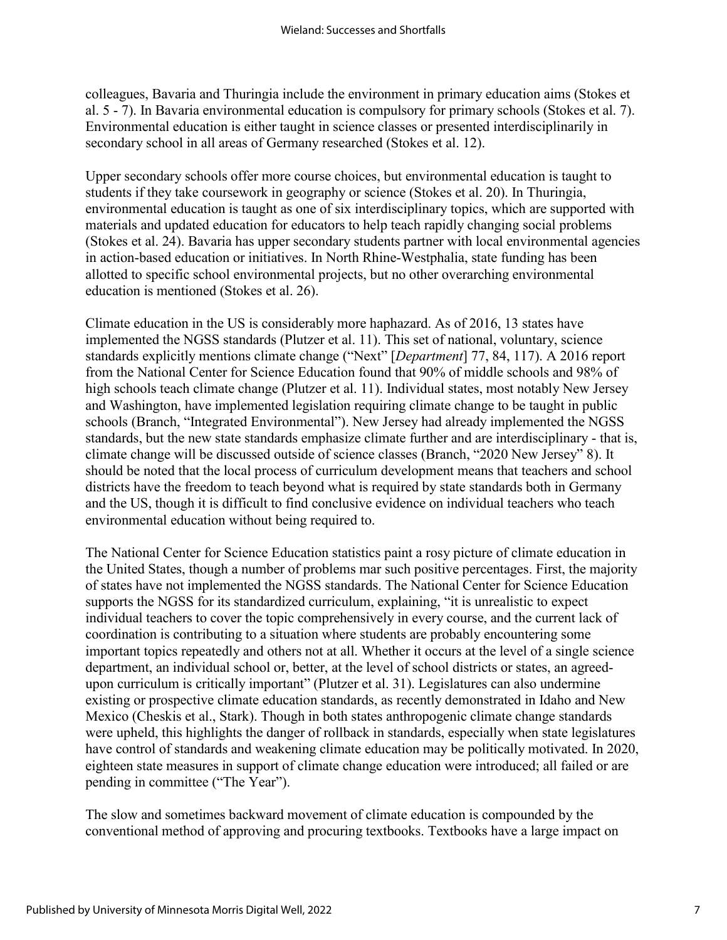colleagues, Bavaria and Thuringia include the environment in primary education aims (Stokes et al. 5 - 7). In Bavaria environmental education is compulsory for primary schools (Stokes et al. 7). Environmental education is either taught in science classes or presented interdisciplinarily in secondary school in all areas of Germany researched (Stokes et al. 12).

Upper secondary schools offer more course choices, but environmental education is taught to students if they take coursework in geography or science (Stokes et al. 20). In Thuringia, environmental education is taught as one of six interdisciplinary topics, which are supported with materials and updated education for educators to help teach rapidly changing social problems (Stokes et al. 24). Bavaria has upper secondary students partner with local environmental agencies in action-based education or initiatives. In North Rhine-Westphalia, state funding has been allotted to specific school environmental projects, but no other overarching environmental education is mentioned (Stokes et al. 26).

Climate education in the US is considerably more haphazard. As of 2016, 13 states have implemented the NGSS standards (Plutzer et al. 11). This set of national, voluntary, science standards explicitly mentions climate change ("Next" [*Department*] 77, 84, 117). A 2016 report from the National Center for Science Education found that 90% of middle schools and 98% of high schools teach climate change (Plutzer et al. 11). Individual states, most notably New Jersey and Washington, have implemented legislation requiring climate change to be taught in public schools (Branch, "Integrated Environmental"). New Jersey had already implemented the NGSS standards, but the new state standards emphasize climate further and are interdisciplinary - that is, climate change will be discussed outside of science classes (Branch, "2020 New Jersey" 8). It should be noted that the local process of curriculum development means that teachers and school districts have the freedom to teach beyond what is required by state standards both in Germany and the US, though it is difficult to find conclusive evidence on individual teachers who teach environmental education without being required to.

The National Center for Science Education statistics paint a rosy picture of climate education in the United States, though a number of problems mar such positive percentages. First, the majority of states have not implemented the NGSS standards. The National Center for Science Education supports the NGSS for its standardized curriculum, explaining, "it is unrealistic to expect individual teachers to cover the topic comprehensively in every course, and the current lack of coordination is contributing to a situation where students are probably encountering some important topics repeatedly and others not at all. Whether it occurs at the level of a single science department, an individual school or, better, at the level of school districts or states, an agreedupon curriculum is critically important" (Plutzer et al. 31). Legislatures can also undermine existing or prospective climate education standards, as recently demonstrated in Idaho and New Mexico (Cheskis et al., Stark). Though in both states anthropogenic climate change standards were upheld, this highlights the danger of rollback in standards, especially when state legislatures have control of standards and weakening climate education may be politically motivated. In 2020, eighteen state measures in support of climate change education were introduced; all failed or are pending in committee ("The Year").

The slow and sometimes backward movement of climate education is compounded by the conventional method of approving and procuring textbooks. Textbooks have a large impact on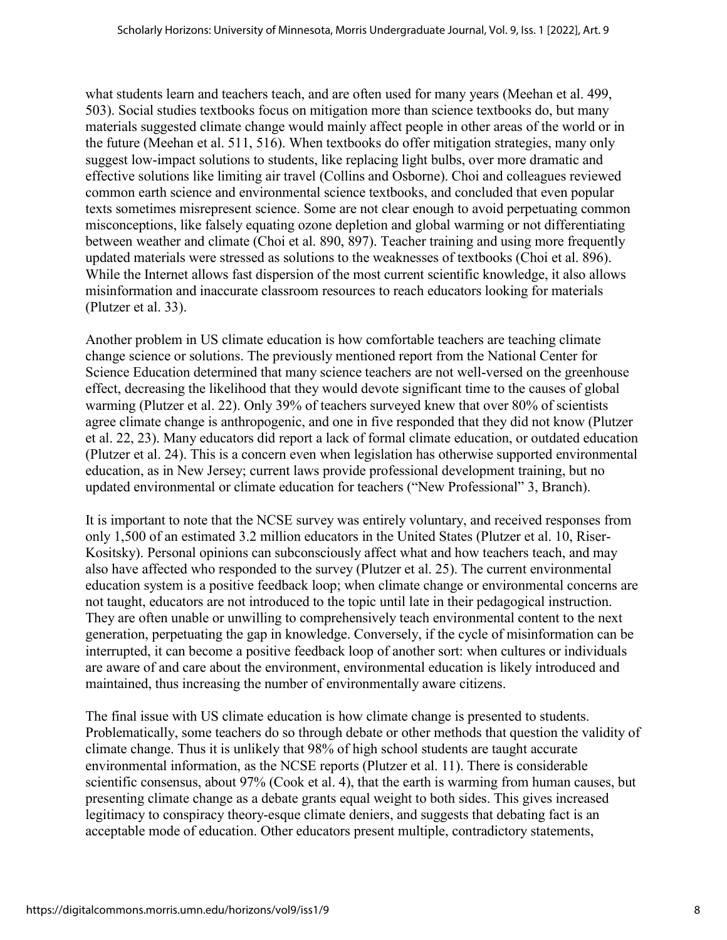what students learn and teachers teach, and are often used for many years (Meehan et al. 499, 503). Social studies textbooks focus on mitigation more than science textbooks do, but many materials suggested climate change would mainly affect people in other areas of the world or in the future (Meehan et al. 511, 516). When textbooks do offer mitigation strategies, many only suggest low-impact solutions to students, like replacing light bulbs, over more dramatic and effective solutions like limiting air travel (Collins and Osborne). Choi and colleagues reviewed common earth science and environmental science textbooks, and concluded that even popular texts sometimes misrepresent science. Some are not clear enough to avoid perpetuating common misconceptions, like falsely equating ozone depletion and global warming or not differentiating between weather and climate (Choi et al. 890, 897). Teacher training and using more frequently updated materials were stressed as solutions to the weaknesses of textbooks (Choi et al. 896). While the Internet allows fast dispersion of the most current scientific knowledge, it also allows misinformation and inaccurate classroom resources to reach educators looking for materials (Plutzer et al. 33).

Another problem in US climate education is how comfortable teachers are teaching climate change science or solutions. The previously mentioned report from the National Center for Science Education determined that many science teachers are not well-versed on the greenhouse effect, decreasing the likelihood that they would devote significant time to the causes of global warming (Plutzer et al. 22). Only 39% of teachers surveyed knew that over 80% of scientists agree climate change is anthropogenic, and one in five responded that they did not know (Plutzer et al. 22, 23). Many educators did report a lack of formal climate education, or outdated education (Plutzer et al. 24). This is a concern even when legislation has otherwise supported environmental education, as in New Jersey; current laws provide professional development training, but no updated environmental or climate education for teachers ("New Professional" 3, Branch).

It is important to note that the NCSE survey was entirely voluntary, and received responses from only 1,500 of an estimated 3.2 million educators in the United States (Plutzer et al. 10, Riser-Kositsky). Personal opinions can subconsciously affect what and how teachers teach, and may also have affected who responded to the survey (Plutzer et al. 25). The current environmental education system is a positive feedback loop; when climate change or environmental concerns are not taught, educators are not introduced to the topic until late in their pedagogical instruction. They are often unable or unwilling to comprehensively teach environmental content to the next generation, perpetuating the gap in knowledge. Conversely, if the cycle of misinformation can be interrupted, it can become a positive feedback loop of another sort: when cultures or individuals are aware of and care about the environment, environmental education is likely introduced and maintained, thus increasing the number of environmentally aware citizens.

The final issue with US climate education is how climate change is presented to students. Problematically, some teachers do so through debate or other methods that question the validity of climate change. Thus it is unlikely that 98% of high school students are taught accurate environmental information, as the NCSE reports (Plutzer et al. 11). There is considerable scientific consensus, about 97% (Cook et al. 4), that the earth is warming from human causes, but presenting climate change as a debate grants equal weight to both sides. This gives increased legitimacy to conspiracy theory-esque climate deniers, and suggests that debating fact is an acceptable mode of education. Other educators present multiple, contradictory statements,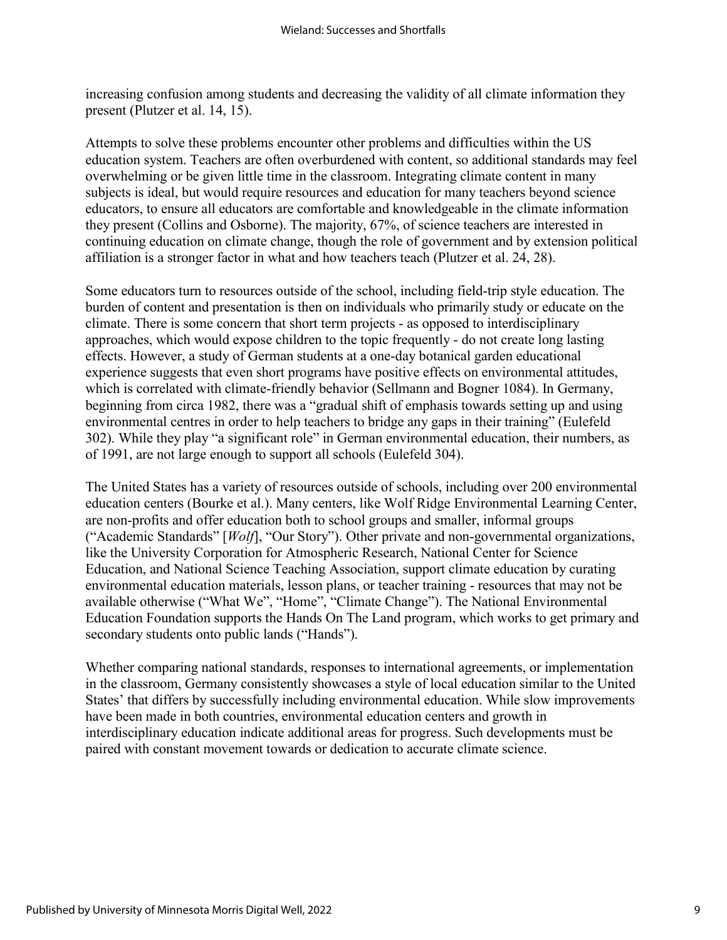increasing confusion among students and decreasing the validity of all climate information they present (Plutzer et al. 14, 15).

Attempts to solve these problems encounter other problems and difficulties within the US education system. Teachers are often overburdened with content, so additional standards may feel overwhelming or be given little time in the classroom. Integrating climate content in many subjects is ideal, but would require resources and education for many teachers beyond science educators, to ensure all educators are comfortable and knowledgeable in the climate information they present (Collins and Osborne). The majority, 67%, of science teachers are interested in continuing education on climate change, though the role of government and by extension political affiliation is a stronger factor in what and how teachers teach (Plutzer et al. 24, 28).

Some educators turn to resources outside of the school, including field-trip style education. The burden of content and presentation is then on individuals who primarily study or educate on the climate. There is some concern that short term projects - as opposed to interdisciplinary approaches, which would expose children to the topic frequently - do not create long lasting effects. However, a study of German students at a one-day botanical garden educational experience suggests that even short programs have positive effects on environmental attitudes, which is correlated with climate-friendly behavior (Sellmann and Bogner 1084). In Germany, beginning from circa 1982, there was a "gradual shift of emphasis towards setting up and using environmental centres in order to help teachers to bridge any gaps in their training" (Eulefeld 302). While they play "a significant role" in German environmental education, their numbers, as of 1991, are not large enough to support all schools (Eulefeld 304).

The United States has a variety of resources outside of schools, including over 200 environmental education centers (Bourke et al.). Many centers, like Wolf Ridge Environmental Learning Center, are non-profits and offer education both to school groups and smaller, informal groups ("Academic Standards" [*Wolf*], "Our Story"). Other private and non-governmental organizations, like the University Corporation for Atmospheric Research, National Center for Science Education, and National Science Teaching Association, support climate education by curating environmental education materials, lesson plans, or teacher training - resources that may not be available otherwise ("What We", "Home", "Climate Change"). The National Environmental Education Foundation supports the Hands On The Land program, which works to get primary and secondary students onto public lands ("Hands").

Whether comparing national standards, responses to international agreements, or implementation in the classroom, Germany consistently showcases a style of local education similar to the United States' that differs by successfully including environmental education. While slow improvements have been made in both countries, environmental education centers and growth in interdisciplinary education indicate additional areas for progress. Such developments must be paired with constant movement towards or dedication to accurate climate science.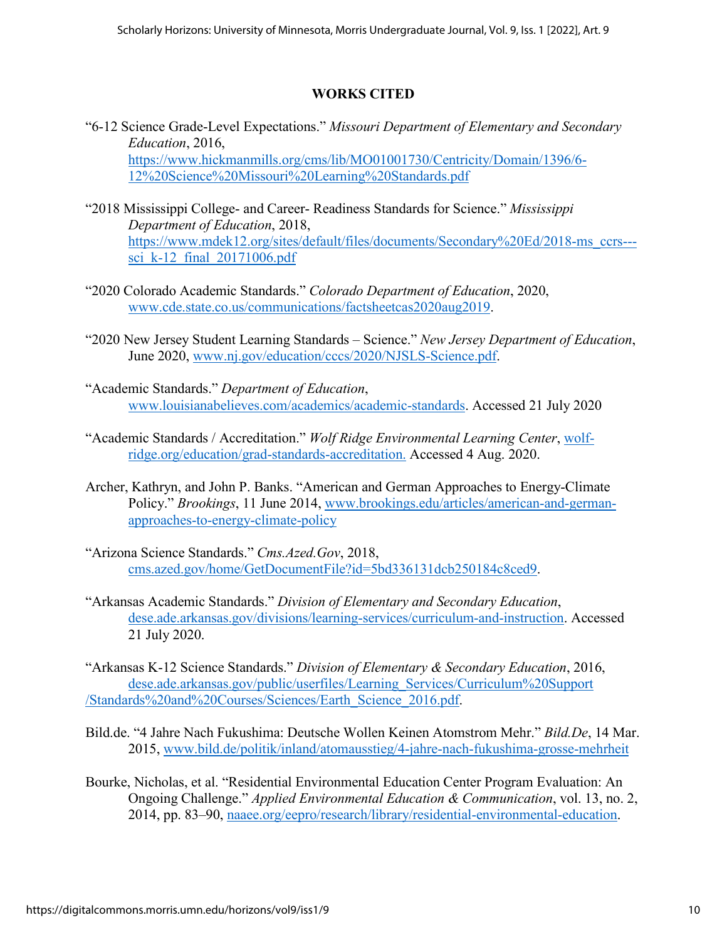### **WORKS CITED**

- "6-12 Science Grade-Level Expectations." *Missouri Department of Elementary and Secondary Education*, 2016, [https://www.hickmanmills.org/cms/lib/MO01001730/Centricity/Domain/1396/6-](https://www.hickmanmills.org/cms/lib/MO01001730/Centricity/Domain/1396/6-12%20Science%20Missouri%20Learning%20Standards.pdf) [12%20Science%20Missouri%20Learning%20Standards.pdf](https://www.hickmanmills.org/cms/lib/MO01001730/Centricity/Domain/1396/6-12%20Science%20Missouri%20Learning%20Standards.pdf)
- "2018 Mississippi College- and Career- Readiness Standards for Science." *Mississippi Department of Education*, 2018, [https://www.mdek12.org/sites/default/files/documents/Secondary%20Ed/2018-ms\\_ccrs--](https://www.mdek12.org/sites/default/files/documents/Secondary%20Ed/2018-ms_ccrs---sci_k-12_final_20171006.pdf) sci k-12 final  $20171006.pdf$
- "2020 Colorado Academic Standards." *Colorado Department of Education*, 2020, [www.cde.state.co.us/communications/factsheetcas2020aug2019.](http://www.cde.state.co.us/communications/factsheetcas2020aug2019)
- "2020 New Jersey Student Learning Standards Science." *New Jersey Department of Education*, June 2020, [www.nj.gov/education/cccs/2020/NJSLS-Science.pdf.](http://www.nj.gov/education/cccs/2020/NJSLS-Science.pdf)
- "Academic Standards." *Department of Education*, [www.louisianabelieves.com/academics/academic-standards.](http://www.louisianabelieves.com/academics/academic-standards) Accessed 21 July 2020
- "Academic Standards / Accreditation." *Wolf Ridge Environmental Learning Center*, wolfridge.org/education/grad-standards-accreditation. Accessed 4 Aug. 2020.
- Archer, Kathryn, and John P. Banks. "American and German Approaches to Energy-Climate Policy." *Brookings*, 11 June 2014, [www.brookings.edu/articles/american-and-german](http://www.brookings.edu/articles/american-and-german-approaches-to-energy-climate-policy)[approaches-to-energy-climate-policy](http://www.brookings.edu/articles/american-and-german-approaches-to-energy-climate-policy)
- "Arizona Science Standards." *Cms.Azed.Gov*, 2018, [cms.azed.gov/home/GetDocumentFile?id=5bd336131dcb250184c8ced9.](https://www.azed.gov/sites/default/files/2018/10/Full%20Set%20of%20Standards%20K_12_%20Updated_10_19_19.pdf?id=5bd336131dcb250184c8ced9)
- "Arkansas Academic Standards." *Division of Elementary and Secondary Education*, dese.ade.arkansas.gov/divisions/learning-services/curriculum-and-instruction. Accessed 21 July 2020.

"Arkansas K-12 Science Standards." *Division of Elementary & Secondary Education*, 2016, dese.ade.arkansas.gov/public/userfiles/Learning\_Services/Curriculum%20Support /Standards%20and%20Courses/Sciences/Earth\_Science\_2016.pdf.

- Bild.de. "4 Jahre Nach Fukushima: Deutsche Wollen Keinen Atomstrom Mehr." *Bild.De*, 14 Mar. 2015, [www.bild.de/politik/inland/atomausstieg/4-jahre-nach-fukushima-grosse-mehrheit](http://www.bild.de/politik/inland/atomausstieg/4-jahre-nach-fukushima-grosse-mehrheit)
- Bourke, Nicholas, et al. "Residential Environmental Education Center Program Evaluation: An Ongoing Challenge." *Applied Environmental Education & Communication*, vol. 13, no. 2, 2014, pp. 83–90, naaee.org/eepro/research/library/residential-environmental-education.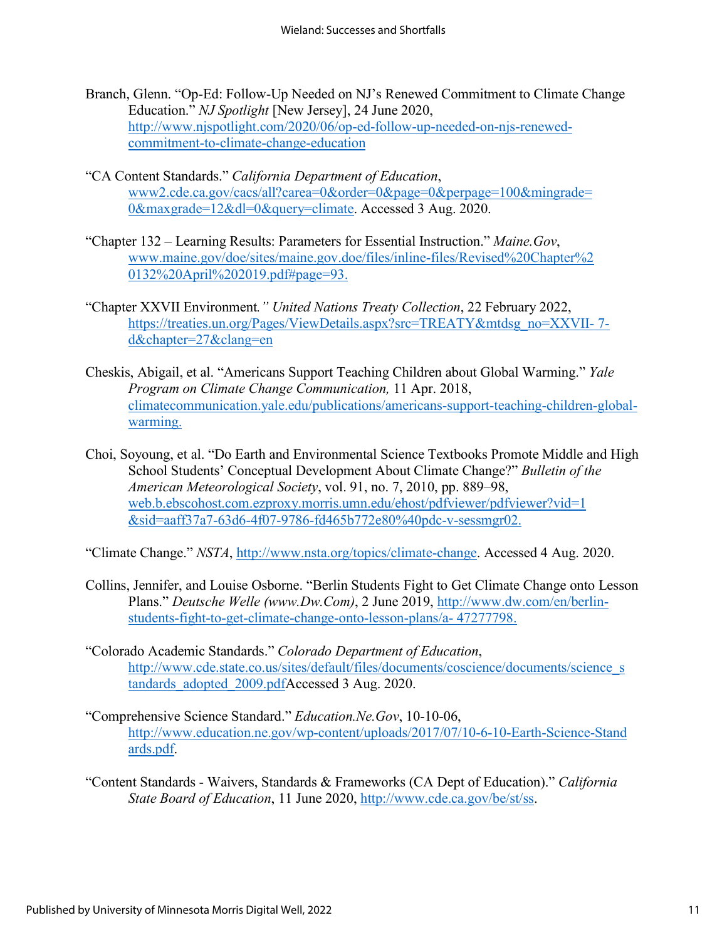- Branch, Glenn. "Op-Ed: Follow-Up Needed on NJ's Renewed Commitment to Climate Change Education." *NJ Spotlight* [New Jersey], 24 June 2020, [http://www.njspotlight.com/2020/06/op-ed-follow-up-needed-on-njs-renewed](http://www.njspotlight.com/2020/06/op-ed-follow-up-needed-on-njs-renewed-commitment-to-climate-change-education)[commitment-to-climate-change-education](http://www.njspotlight.com/2020/06/op-ed-follow-up-needed-on-njs-renewed-commitment-to-climate-change-education)
- "CA Content Standards." *California Department of Education*, www2.cde.ca.gov/cacs/all?carea=0&order=0&page=0&perpage=100&mingrade= 0&maxgrade=12&dl=0&query=climate. Accessed 3 Aug. 2020.
- "Chapter 132 Learning Results: Parameters for Essential Instruction." *Maine.Gov*, [www.maine.gov/doe/sites/maine.gov.doe/files/inline-files/Revised%20Chapter%2](http://www.maine.gov/doe/sites/maine.gov.doe/files/inline-files/Revised%20Chapter%252%200132%20April%202019.pdf#page=93)  [0132%20April%202019.pdf#page=93.](http://www.maine.gov/doe/sites/maine.gov.doe/files/inline-files/Revised%20Chapter%252%200132%20April%202019.pdf#page=93)
- "Chapter XXVII Environment*." United Nations Treaty Collection*, 22 February 2022, https://treaties.un.org/Pages/ViewDetails.aspx?src=TREATY&mtdsg\_no=XXVII-7[d&chapter=27&clang=en](https://treaties.un.org/Pages/ViewDetails.aspx?src=TREATY&mtdsg_no=XXVII-%207-d&chapter=27&clang=en)
- Cheskis, Abigail, et al. "Americans Support Teaching Children about Global Warming." *Yale Program on Climate Change Communication,* 11 Apr. 2018, climatecommunication.yale.edu/publications/americans-support-teaching-children-globalwarming.
- Choi, Soyoung, et al. "Do Earth and Environmental Science Textbooks Promote Middle and High School Students' Conceptual Development About Climate Change?" *Bulletin of the American Meteorological Society*, vol. 91, no. 7, 2010, pp. 889–98, web.b.ebscohost.com.ezproxy.morris.umn.edu/ehost/pdfviewer/pdfviewer?vid=1 &sid=aaff37a7-63d6-4f07-9786-fd465b772e80%40pdc-v-sessmgr02.
- "Climate Change." *NSTA*, [http://www.nsta.org/topics/climate-change.](http://www.nsta.org/topics/climate-change) Accessed 4 Aug. 2020.
- Collins, Jennifer, and Louise Osborne. "Berlin Students Fight to Get Climate Change onto Lesson Plans." *Deutsche Welle (www.Dw.Com)*, 2 June 2019, [http://www.dw.com/en/berlin](http://www.dw.com/en/berlin-students-fight-to-get-climate-change-onto-lesson-plans/a-%2047277798.)[students-fight-to-get-climate-change-onto-lesson-plans/a- 47277798.](http://www.dw.com/en/berlin-students-fight-to-get-climate-change-onto-lesson-plans/a-%2047277798.)
- "Colorado Academic Standards." *Colorado Department of Education*, [http://www.cde.state.co.us/sites/default/files/documents/coscience/documents/science\\_s](http://www.cde.state.co.us/sites/default/files/documents/coscience/documents/science_s%20tandards_adopted_2009.pdf)  [tandards\\_adopted\\_2009.pdfA](http://www.cde.state.co.us/sites/default/files/documents/coscience/documents/science_s%20tandards_adopted_2009.pdf)ccessed 3 Aug. 2020.
- "Comprehensive Science Standard." *Education.Ne.Gov*, 10-10-06, [http://www.education.ne.gov/wp-content/uploads/2017/07/10-6-10-Earth-Science-Stand](http://www.education.ne.gov/wp-content/uploads/2017/07/10-6-10-Earth-Science-Stand%20ards.pdf)  [ards.pdf.](http://www.education.ne.gov/wp-content/uploads/2017/07/10-6-10-Earth-Science-Stand%20ards.pdf)
- "Content Standards Waivers, Standards & Frameworks (CA Dept of Education)." *California State Board of Education*, 11 June 2020, [http://www.cde.ca.gov/be/st/ss.](http://www.cde.ca.gov/be/st/ss)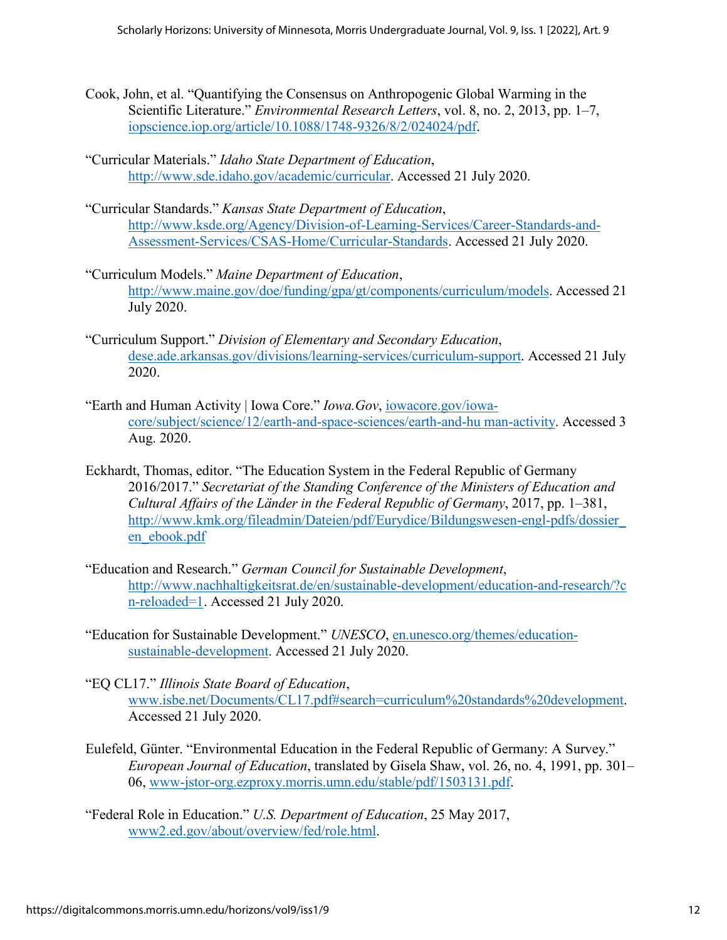- Cook, John, et al. "Quantifying the Consensus on Anthropogenic Global Warming in the Scientific Literature." *Environmental Research Letters*, vol. 8, no. 2, 2013, pp. 1–7, iopscience.iop.org/article/10.1088/1748-9326/8/2/024024/pdf.
- "Curricular Materials." *Idaho State Department of Education*, [http://www.sde.idaho.gov/academic/curricular.](http://www.sde.idaho.gov/academic/curricular) Accessed 21 July 2020.
- "Curricular Standards." *Kansas State Department of Education*, [http://www.ksde.org/Agency/Division-of-Learning-Services/Career-Standards-and-](http://www.ksde.org/Agency/Division-of-Learning-Services/Career-Standards-and-Assessment-Services/CSAS-Home/Curricular-Standards)[Assessment-Services/CSAS-Home/Curricular-Standards.](http://www.ksde.org/Agency/Division-of-Learning-Services/Career-Standards-and-Assessment-Services/CSAS-Home/Curricular-Standards) Accessed 21 July 2020.
- "Curriculum Models." *Maine Department of Education*, [http://www.maine.gov/doe/funding/gpa/gt/components/curriculum/models.](http://www.maine.gov/doe/funding/gpa/gt/components/curriculum/models) Accessed 21 July 2020.
- "Curriculum Support." *Division of Elementary and Secondary Education*, dese.ade.arkansas.gov/divisions/learning-services/curriculum-support. Accessed 21 July 2020.
- "Earth and Human Activity | Iowa Core." *Iowa.Gov*, iowacore.gov/iowacore/subject/science/12/earth-and-space-sciences/earth-and-hu man-activity. Accessed 3 Aug. 2020.
- Eckhardt, Thomas, editor. "The Education System in the Federal Republic of Germany 2016/2017." *Secretariat of the Standing Conference of the Ministers of Education and Cultural Affairs of the Länder in the Federal Republic of Germany*, 2017, pp. 1–381, [http://www.kmk.org/fileadmin/Dateien/pdf/Eurydice/Bildungswesen-engl-pdfs/dossier\\_](http://www.kmk.org/fileadmin/Dateien/pdf/Eurydice/Bildungswesen-engl-pdfs/dossier_%20en_ebook.pdf)  [en\\_ebook.pdf](http://www.kmk.org/fileadmin/Dateien/pdf/Eurydice/Bildungswesen-engl-pdfs/dossier_%20en_ebook.pdf)
- "Education and Research." *German Council for Sustainable Development*, [http://www.nachhaltigkeitsrat.de/en/sustainable-development/education-and-research/?c](http://www.nachhaltigkeitsrat.de/en/sustainable-development/education-and-research/?c%20n-reloaded=1)  [n-reloaded=1.](http://www.nachhaltigkeitsrat.de/en/sustainable-development/education-and-research/?c%20n-reloaded=1) Accessed 21 July 2020.
- "Education for Sustainable Development." *UNESCO*, en.unesco.org/themes/educationsustainable-development. Accessed 21 July 2020.
- "EQ CL17." *Illinois State Board of Education*, [www.isbe.net/Documents/CL17.pdf#search=curriculum%20standards%20development.](http://www.isbe.net/Documents/CL17.pdf#search=curriculum%20standards%20development) Accessed 21 July 2020.
- Eulefeld, Günter. "Environmental Education in the Federal Republic of Germany: A Survey." *European Journal of Education*, translated by Gisela Shaw, vol. 26, no. 4, 1991, pp. 301– 06, www-jstor-org.ezproxy.morris.umn.edu/stable/pdf/1503131.pdf.
- "Federal Role in Education." *U.S. Department of Education*, 25 May 2017, www2.ed.gov/about/overview/fed/role.html.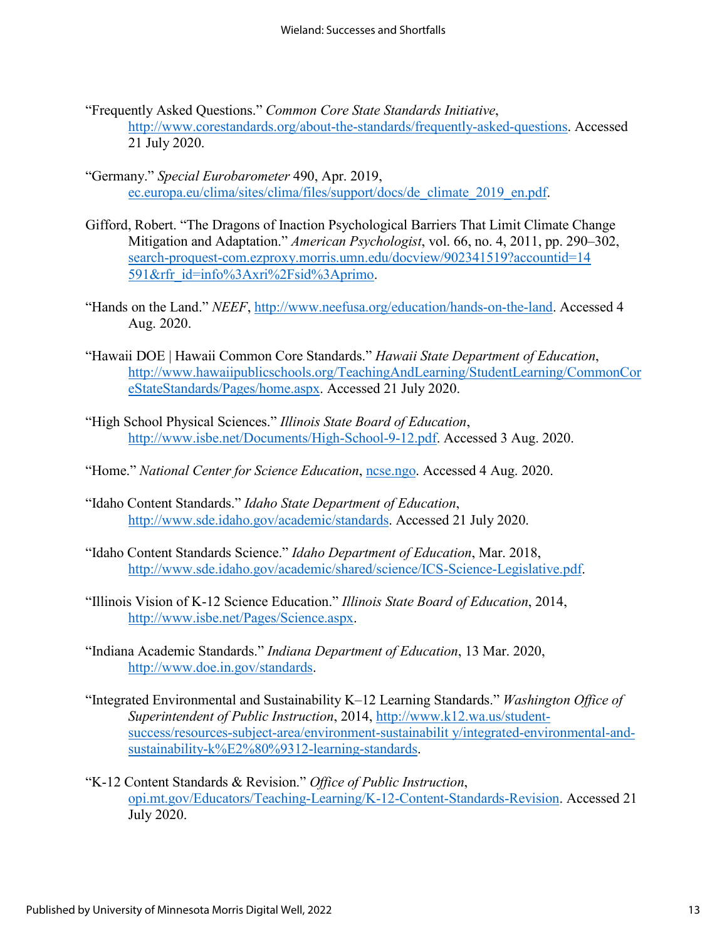- "Frequently Asked Questions." *Common Core State Standards Initiative*, [http://www.corestandards.org/about-the-standards/frequently-asked-questions.](http://www.corestandards.org/about-the-standards/frequently-asked-questions) Accessed 21 July 2020.
- "Germany." *Special Eurobarometer* 490, Apr. 2019, ec.europa.eu/clima/sites/clima/files/support/docs/de\_climate\_2019\_en.pdf.
- Gifford, Robert. "The Dragons of Inaction Psychological Barriers That Limit Climate Change Mitigation and Adaptation." *American Psychologist*, vol. 66, no. 4, 2011, pp. 290–302, search-proquest-com.ezproxy.morris.umn.edu/docview/902341519?accountid=14 591&rfr\_id=info%3Axri%2Fsid%3Aprimo.
- "Hands on the Land." *NEEF*, [http://www.neefusa.org/education/hands-on-the-land.](http://www.neefusa.org/education/hands-on-the-land) Accessed 4 Aug. 2020.
- "Hawaii DOE | Hawaii Common Core Standards." *Hawaii State Department of Education*, [http://www.hawaiipublicschools.org/TeachingAndLearning/StudentLearning/CommonCor](http://www.hawaiipublicschools.org/TeachingAndLearning/StudentLearning/CommonCoreStateStandards/Pages/home.aspx) [eStateStandards/Pages/home.aspx.](http://www.hawaiipublicschools.org/TeachingAndLearning/StudentLearning/CommonCoreStateStandards/Pages/home.aspx) Accessed 21 July 2020.
- "High School Physical Sciences." *Illinois State Board of Education*, [http://www.isbe.net/Documents/High-School-9-12.pdf.](http://www.isbe.net/Documents/High-School-9-12.pdf) Accessed 3 Aug. 2020.
- "Home." *National Center for Science Education*, ncse.ngo. Accessed 4 Aug. 2020.
- "Idaho Content Standards." *Idaho State Department of Education*, [http://www.sde.idaho.gov/academic/standards.](http://www.sde.idaho.gov/academic/standards) Accessed 21 July 2020.
- "Idaho Content Standards Science." *Idaho Department of Education*, Mar. 2018, [http://www.sde.idaho.gov/academic/shared/science/ICS-Science-Legislative.pdf.](http://www.sde.idaho.gov/academic/shared/science/ICS-Science-Legislative.pdf)
- "Illinois Vision of K-12 Science Education." *Illinois State Board of Education*, 2014, [http://www.isbe.net/Pages/Science.aspx.](http://www.isbe.net/Pages/Science.aspx)
- "Indiana Academic Standards." *Indiana Department of Education*, 13 Mar. 2020, [http://www.doe.in.gov/standards.](http://www.doe.in.gov/standards)
- "Integrated Environmental and Sustainability K–12 Learning Standards." *Washington Office of Superintendent of Public Instruction*, 2014, [http://www.k12.wa.us/student](http://www.k12.wa.us/student-success/resources-subject-area/environment-sustainabilit%20y/integrated-environmental-and-sustainability-k%E2%80%9312-learning-standards)[success/resources-subject-area/environment-sustainabilit y/integrated-environmental-and](http://www.k12.wa.us/student-success/resources-subject-area/environment-sustainabilit%20y/integrated-environmental-and-sustainability-k%E2%80%9312-learning-standards)[sustainability-k%E2%80%9312-learning-standards.](http://www.k12.wa.us/student-success/resources-subject-area/environment-sustainabilit%20y/integrated-environmental-and-sustainability-k%E2%80%9312-learning-standards)
- "K-12 Content Standards & Revision." *Office of Public Instruction*, opi.mt.gov/Educators/Teaching-Learning/K-12-Content-Standards-Revision. Accessed 21 July 2020.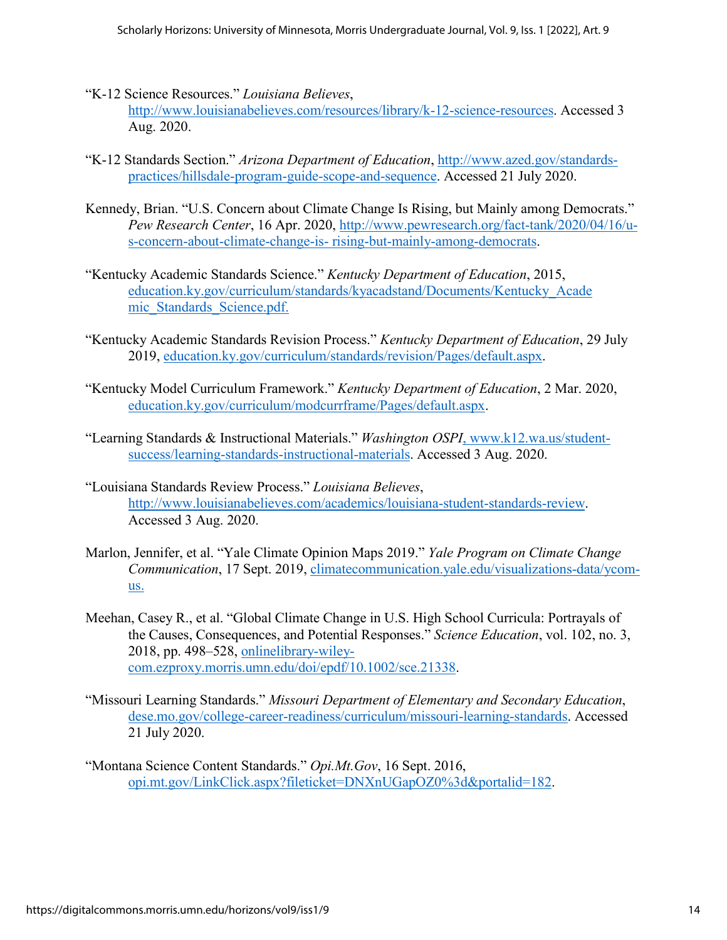- "K-12 Science Resources." *Louisiana Believes*, [http://www.louisianabelieves.com/resources/library/k-12-science-resources.](http://www.louisianabelieves.com/resources/library/k-12-science-resources) Accessed 3 Aug. 2020.
- "K-12 Standards Section." *Arizona Department of Education*, [http://www.azed.gov/standards](http://www.azed.gov/standards-practices/hillsdale-program-guide-scope-and-sequence)[practices/hillsdale-program-guide-scope-and-sequence.](http://www.azed.gov/standards-practices/hillsdale-program-guide-scope-and-sequence) Accessed 21 July 2020.
- Kennedy, Brian. "U.S. Concern about Climate Change Is Rising, but Mainly among Democrats." *Pew Research Center*, 16 Apr. 2020, [http://www.pewresearch.org/fact-tank/2020/04/16/u](http://www.pewresearch.org/fact-tank/2020/04/16/u-s-concern-about-climate-change-is-%20rising-but-mainly-among-democrats)[s-concern-about-climate-change-is- rising-but-mainly-among-democrats.](http://www.pewresearch.org/fact-tank/2020/04/16/u-s-concern-about-climate-change-is-%20rising-but-mainly-among-democrats)
- "Kentucky Academic Standards Science." *Kentucky Department of Education*, 2015, education.ky.gov/curriculum/standards/kyacadstand/Documents/Kentucky\_Acade mic\_Standards\_Science.pdf.
- "Kentucky Academic Standards Revision Process." *Kentucky Department of Education*, 29 July 2019, education.ky.gov/curriculum/standards/revision/Pages/default.aspx.
- "Kentucky Model Curriculum Framework." *Kentucky Department of Education*, 2 Mar. 2020, education.ky.gov/curriculum/modcurrframe/Pages/default.aspx.
- "Learning Standards & Instructional Materials." *Washington OSPI*, www.k12.wa.us/studentsuccess/learning-standards-instructional-materials. Accessed 3 Aug. 2020.
- "Louisiana Standards Review Process." *Louisiana Believes*, [http://www.louisianabelieves.com/academics/louisiana-student-standards-review.](http://www.louisianabelieves.com/academics/louisiana-student-standards-review) Accessed 3 Aug. 2020.
- Marlon, Jennifer, et al. "Yale Climate Opinion Maps 2019." *Yale Program on Climate Change Communication*, 17 Sept. 2019, climatecommunication.yale.edu/visualizations-data/ycomus.
- Meehan, Casey R., et al. "Global Climate Change in U.S. High School Curricula: Portrayals of the Causes, Consequences, and Potential Responses." *Science Education*, vol. 102, no. 3, 2018, pp. 498–528, onlinelibrary-wileycom.ezproxy.morris.umn.edu/doi/epdf/10.1002/sce.21338.
- "Missouri Learning Standards." *Missouri Department of Elementary and Secondary Education*, dese.mo.gov/college-career-readiness/curriculum/missouri-learning-standards. Accessed 21 July 2020.
- "Montana Science Content Standards." *Opi.Mt.Gov*, 16 Sept. 2016, opi.mt.gov/LinkClick.aspx?fileticket=DNXnUGapOZ0%3d&portalid=182.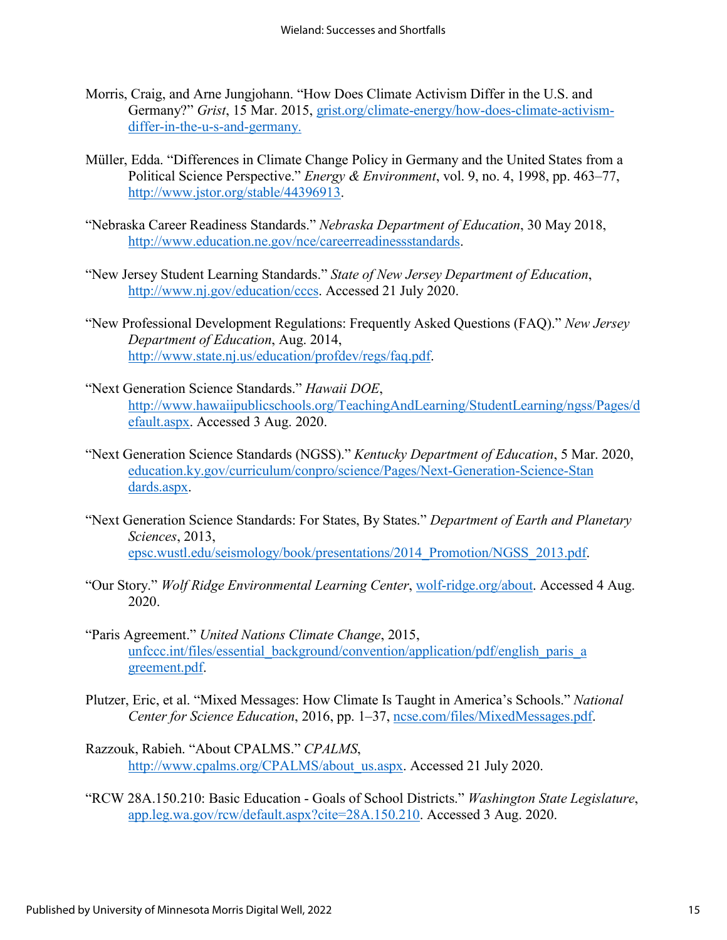- Morris, Craig, and Arne Jungjohann. "How Does Climate Activism Differ in the U.S. and Germany?" *Grist*, 15 Mar. 2015, grist.org/climate-energy/how-does-climate-activismdiffer-in-the-u-s-and-germany.
- Müller, Edda. "Differences in Climate Change Policy in Germany and the United States from a Political Science Perspective." *Energy & Environment*, vol. 9, no. 4, 1998, pp. 463–77, [http://www.jstor.org/stable/44396913.](http://www.jstor.org/stable/44396913)
- "Nebraska Career Readiness Standards." *Nebraska Department of Education*, 30 May 2018, [http://www.education.ne.gov/nce/careerreadinessstandards.](http://www.education.ne.gov/nce/careerreadinessstandards)
- "New Jersey Student Learning Standards." *State of New Jersey Department of Education*, [http://www.nj.gov/education/cccs.](http://www.nj.gov/education/cccs) Accessed 21 July 2020.
- "New Professional Development Regulations: Frequently Asked Questions (FAQ)." *New Jersey Department of Education*, Aug. 2014, [http://www.state.nj.us/education/profdev/regs/faq.pdf.](http://www.state.nj.us/education/profdev/regs/faq.pdf)
- "Next Generation Science Standards." *Hawaii DOE*, [http://www.hawaiipublicschools.org/TeachingAndLearning/StudentLearning/ngss/Pages/d](http://www.hawaiipublicschools.org/TeachingAndLearning/StudentLearning/ngss/Pages/default.aspx) [efault.aspx.](http://www.hawaiipublicschools.org/TeachingAndLearning/StudentLearning/ngss/Pages/default.aspx) Accessed 3 Aug. 2020.
- "Next Generation Science Standards (NGSS)." *Kentucky Department of Education*, 5 Mar. 2020, education.ky.gov/curriculum/conpro/science/Pages/Next-Generation-Science-Stan dards.aspx.
- "Next Generation Science Standards: For States, By States." *Department of Earth and Planetary Sciences*, 2013, epsc.wustl.edu/seismology/book/presentations/2014\_Promotion/NGSS\_2013.pdf.
- "Our Story." *Wolf Ridge Environmental Learning Center*, wolf-ridge.org/about. Accessed 4 Aug. 2020.
- "Paris Agreement." *United Nations Climate Change*, 2015, unfccc.int/files/essential\_background/convention/application/pdf/english\_paris\_a greement.pdf.
- Plutzer, Eric, et al. "Mixed Messages: How Climate Is Taught in America's Schools." *National Center for Science Education*, 2016, pp. 1–37, ncse.com/files/MixedMessages.pdf.
- Razzouk, Rabieh. "About CPALMS." *CPALMS*, [http://www.cpalms.org/CPALMS/about\\_us.aspx.](http://www.cpalms.org/CPALMS/about_us.aspx) Accessed 21 July 2020.
- "RCW 28A.150.210: Basic Education Goals of School Districts." *Washington State Legislature*, app.leg.wa.gov/rcw/default.aspx?cite=28A.150.210. Accessed 3 Aug. 2020.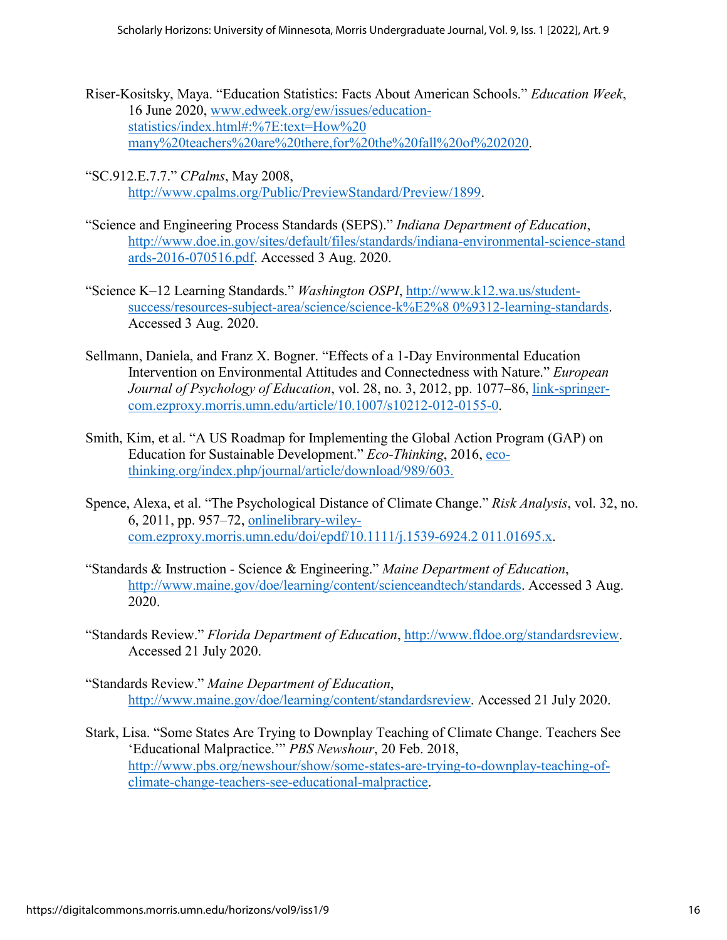- Riser-Kositsky, Maya. "Education Statistics: Facts About American Schools." *Education Week*, 16 June 2020, [www.edweek.org/ew/issues/education](http://www.edweek.org/ew/issues/education-statistics/index.html#:%7E:text=How%20%20many%20teachers%20are%20there,for%20the%20fall%20of%202020)[statistics/index.html#:%7E:text=How%20](http://www.edweek.org/ew/issues/education-statistics/index.html#:%7E:text=How%20%20many%20teachers%20are%20there,for%20the%20fall%20of%202020)  [many%20teachers%20are%20there,for%20the%20fall%20of%202020.](http://www.edweek.org/ew/issues/education-statistics/index.html#:%7E:text=How%20%20many%20teachers%20are%20there,for%20the%20fall%20of%202020)
- "SC.912.E.7.7." *CPalms*, May 2008, [http://www.cpalms.org/Public/PreviewStandard/Preview/1899.](http://www.cpalms.org/Public/PreviewStandard/Preview/1899)
- "Science and Engineering Process Standards (SEPS)." *Indiana Department of Education*, [http://www.doe.in.gov/sites/default/files/standards/indiana-environmental-science-stand](http://www.doe.in.gov/sites/default/files/standards/indiana-environmental-science-stand%20ards-2016-070516.pdf)  [ards-2016-070516.pdf.](http://www.doe.in.gov/sites/default/files/standards/indiana-environmental-science-stand%20ards-2016-070516.pdf) Accessed 3 Aug. 2020.
- "Science K–12 Learning Standards." *Washington OSPI*, [http://www.k12.wa.us/student](http://www.k12.wa.us/student-success/resources-subject-area/science/science-k%E2%258%200%9312-learning-standards)[success/resources-subject-area/science/science-k%E2%8 0%9312-learning-standards.](http://www.k12.wa.us/student-success/resources-subject-area/science/science-k%E2%258%200%9312-learning-standards) Accessed 3 Aug. 2020.
- Sellmann, Daniela, and Franz X. Bogner. "Effects of a 1-Day Environmental Education Intervention on Environmental Attitudes and Connectedness with Nature." *European Journal of Psychology of Education*, vol. 28, no. 3, 2012, pp. 1077–86, link-springercom.ezproxy.morris.umn.edu/article/10.1007/s10212-012-0155-0.
- Smith, Kim, et al. "A US Roadmap for Implementing the Global Action Program (GAP) on Education for Sustainable Development." *Eco-Thinking*, 2016, ecothinking.org/index.php/journal/article/download/989/603.
- Spence, Alexa, et al. "The Psychological Distance of Climate Change." *Risk Analysis*, vol. 32, no. 6, 2011, pp. 957–72, onlinelibrary-wileycom.ezproxy.morris.umn.edu/doi/epdf/10.1111/j.1539-6924.2 011.01695.x.
- "Standards & Instruction Science & Engineering." *Maine Department of Education*, [http://www.maine.gov/doe/learning/content/scienceandtech/standards.](http://www.maine.gov/doe/learning/content/scienceandtech/standards) Accessed 3 Aug. 2020.
- "Standards Review." *Florida Department of Education*, [http://www.fldoe.org/standardsreview.](http://www.fldoe.org/standardsreview) Accessed 21 July 2020.
- "Standards Review." *Maine Department of Education*, [http://www.maine.gov/doe/learning/content/standardsreview.](http://www.maine.gov/doe/learning/content/standardsreview) Accessed 21 July 2020.
- Stark, Lisa. "Some States Are Trying to Downplay Teaching of Climate Change. Teachers See 'Educational Malpractice.'" *PBS Newshour*, 20 Feb. 2018, [http://www.pbs.org/newshour/show/some-states-are-trying-to-downplay-teaching-of](http://www.pbs.org/newshour/show/some-states-are-trying-to-downplay-teaching-of-climate-change-teachers-see-educational-malpractice)[climate-change-teachers-see-educational-malpractice.](http://www.pbs.org/newshour/show/some-states-are-trying-to-downplay-teaching-of-climate-change-teachers-see-educational-malpractice)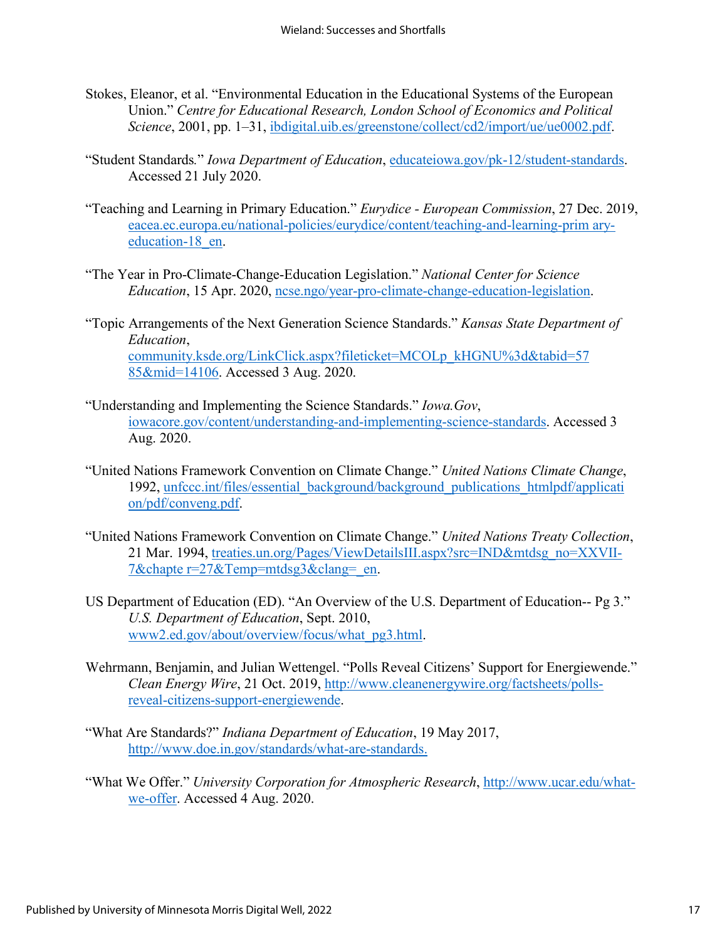- Stokes, Eleanor, et al. "Environmental Education in the Educational Systems of the European Union." *Centre for Educational Research, London School of Economics and Political Science*, 2001, pp. 1–31, ibdigital.uib.es/greenstone/collect/cd2/import/ue/ue0002.pdf.
- "Student Standards*.*" *Iowa Department of Education*, educateiowa.gov/pk-12/student-standards. Accessed 21 July 2020.
- "Teaching and Learning in Primary Education." *Eurydice European Commission*, 27 Dec. 2019, eacea.ec.europa.eu/national-policies/eurydice/content/teaching-and-learning-prim aryeducation-18 en.
- "The Year in Pro-Climate-Change-Education Legislation." *National Center for Science Education*, 15 Apr. 2020, ncse.ngo/year-pro-climate-change-education-legislation.
- "Topic Arrangements of the Next Generation Science Standards." *Kansas State Department of Education*, community.ksde.org/LinkClick.aspx?fileticket=MCOLp\_kHGNU%3d&tabid=57 85&mid=14106. Accessed 3 Aug. 2020.
- "Understanding and Implementing the Science Standards." *Iowa.Gov*, iowacore.gov/content/understanding-and-implementing-science-standards. Accessed 3 Aug. 2020.
- "United Nations Framework Convention on Climate Change." *United Nations Climate Change*, 1992, unfccc.int/files/essential\_background/background\_publications\_htmlpdf/applicati on/pdf/conveng.pdf.
- "United Nations Framework Convention on Climate Change." *United Nations Treaty Collection*, 21 Mar. 1994, treaties.un.org/Pages/ViewDetailsIII.aspx?src=IND&mtdsg\_no=XXVII-7&chapte r=27&Temp=mtdsg3&clang= en.
- US Department of Education (ED). "An Overview of the U.S. Department of Education-- Pg 3." *U.S. Department of Education*, Sept. 2010, www2.ed.gov/about/overview/focus/what\_pg3.html.
- Wehrmann, Benjamin, and Julian Wettengel. "Polls Reveal Citizens' Support for Energiewende." *Clean Energy Wire*, 21 Oct. 2019, [http://www.cleanenergywire.org/factsheets/polls](http://www.cleanenergywire.org/factsheets/polls-reveal-citizens-support-energiewende)[reveal-citizens-support-energiewende.](http://www.cleanenergywire.org/factsheets/polls-reveal-citizens-support-energiewende)
- "What Are Standards?" *Indiana Department of Education*, 19 May 2017, <http://www.doe.in.gov/standards/what-are-standards.>
- "What We Offer." *University Corporation for Atmospheric Research*, [http://www.ucar.edu/what](http://www.ucar.edu/what-we-offer)[we-offer.](http://www.ucar.edu/what-we-offer) Accessed 4 Aug. 2020.